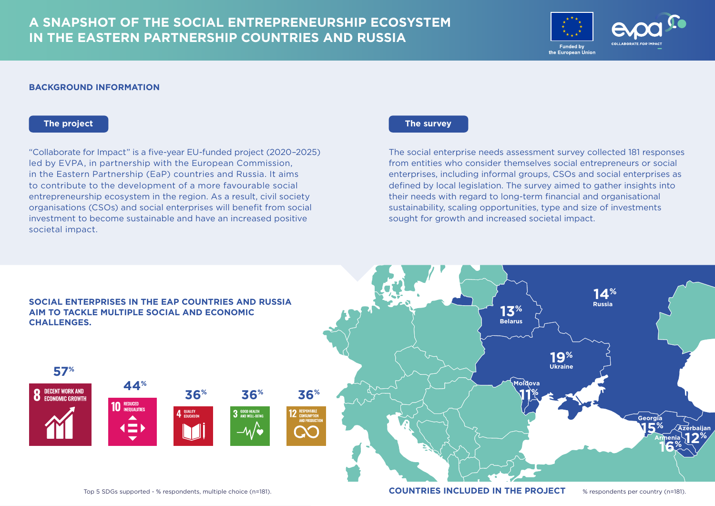# **A SNAPSHOT OF THE SOCIAL ENTREPRENEURSHIP ECOSYSTEM IN THE EASTERN PARTNERSHIP COUNTRIES AND RUSSIA**



#### **BACKGROUND INFORMATION**

"Collaborate for Impact" is a five-year EU-funded project (2020–2025) led by EVPA, in partnership with the European Commission, in the Eastern Partnership (EaP) countries and Russia. It aims to contribute to the development of a more favourable social entrepreneurship ecosystem in the region. As a result, civil society organisations (CSOs) and social enterprises will benefit from social investment to become sustainable and have an increased positive societal impact.

# **The project The survey**

The social enterprise needs assessment survey collected 181 responses from entities who consider themselves social entrepreneurs or social enterprises, including informal groups, CSOs and social enterprises as defined by local legislation. The survey aimed to gather insights into their needs with regard to long-term financial and organisational sustainability, scaling opportunities, type and size of investments sought for growth and increased societal impact.

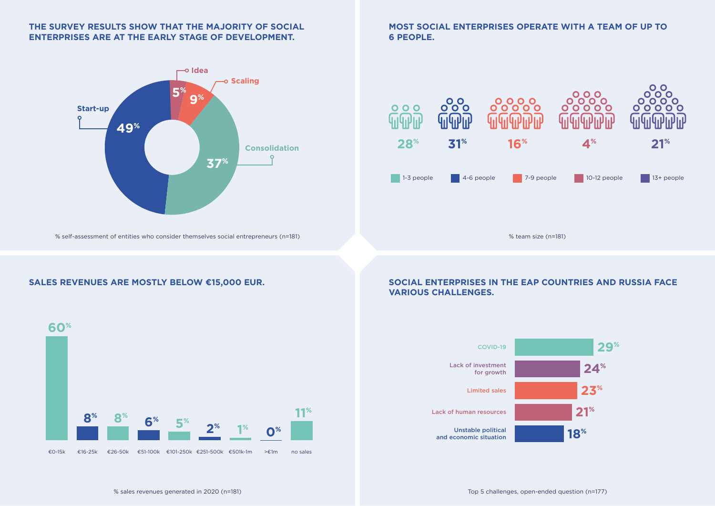# **THE SURVEY RESULTS SHOW THAT THE MAJORITY OF SOCIAL ENTERPRISES ARE AT THE EARLY STAGE OF DEVELOPMENT.**



% self-assessment of entities who consider themselves social entrepreneurs (n=181) % team size (n=181)

# **SALES REVENUES ARE MOSTLY BELOW €15,000 EUR.**



**MOST SOCIAL ENTERPRISES OPERATE WITH A TEAM OF UP TO 6 PEOPLE.**



## **SOCIAL ENTERPRISES IN THE EAP COUNTRIES AND RUSSIA FACE VARIOUS CHALLENGES.**

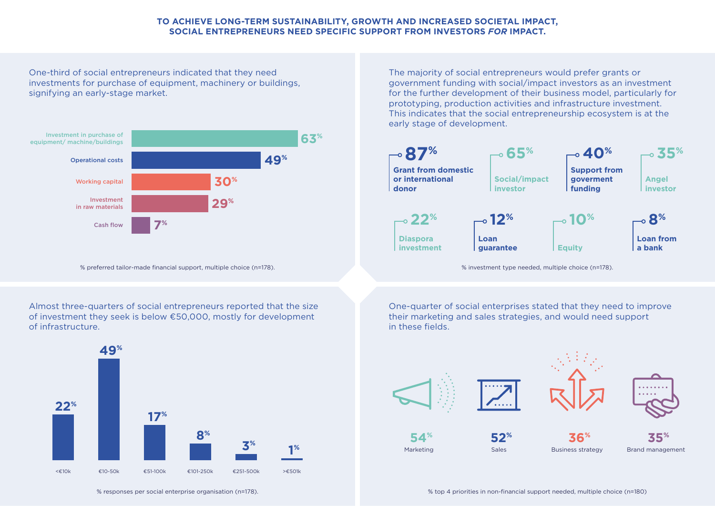## **TO ACHIEVE LONG-TERM SUSTAINABILITY, GROWTH AND INCREASED SOCIETAL IMPACT, SOCIAL ENTREPRENEURS NEED SPECIFIC SUPPORT FROM INVESTORS** *FOR* **IMPACT.**

One-third of social entrepreneurs indicated that they need investments for purchase of equipment, machinery or buildings, signifying an early-stage market.



% preferred tailor-made financial support, multiple choice (n=178). % investment type needed, multiple choice (n=178).

The majority of social entrepreneurs would prefer grants or government funding with social/impact investors as an investment for the further development of their business model, particularly for prototyping, production activities and infrastructure investment. This indicates that the social entrepreneurship ecosystem is at the early stage of development.



Almost three-quarters of social entrepreneurs reported that the size of investment they seek is below €50,000, mostly for development of infrastructure.

**22%**